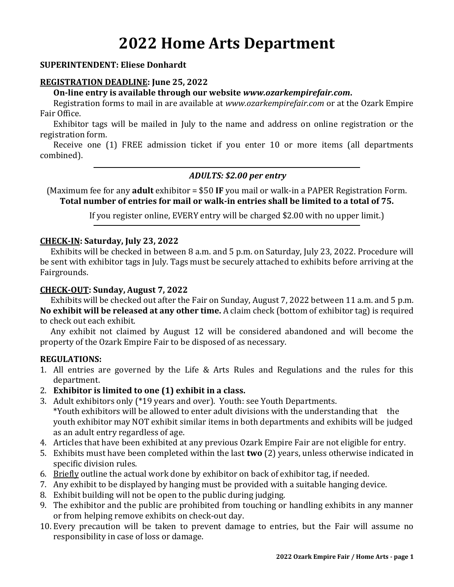# **2022 Home Arts Department**

#### **SUPERINTENDENT: Eliese Donhardt**

#### **REGISTRATION DEADLINE: June 25, 2022**

**On-line entry is available through our website** *www.ozarkempirefair.com***.**

Registration forms to mail in are available at *www.ozarkempirefair.com* or at the Ozark Empire Fair Office.

Exhibitor tags will be mailed in July to the name and address on online registration or the registration form.

Receive one (1) FREE admission ticket if you enter 10 or more items (all departments combined).

#### *ADULTS: \$2.00 per entry*

(Maximum fee for any **adult** exhibitor = \$50 **IF** you mail or walk-in a PAPER Registration Form. **Total number of entries for mail or walk-in entries shall be limited to a total of 75.**

If you register online, EVERY entry will be charged \$2.00 with no upper limit.)

#### **CHECK-IN: Saturday, July 23, 2022**

Exhibits will be checked in between 8 a.m. and 5 p.m. on Saturday, July 23, 2022. Procedure will be sent with exhibitor tags in July. Tags must be securely attached to exhibits before arriving at the Fairgrounds.

#### **CHECK-OUT: Sunday, August 7, 2022**

Exhibits will be checked out after the Fair on Sunday, August 7, 2022 between 11 a.m. and 5 p.m. **No exhibit will be released at any other time.** A claim check (bottom of exhibitor tag) is required to check out each exhibit.

Any exhibit not claimed by August 12 will be considered abandoned and will become the property of the Ozark Empire Fair to be disposed of as necessary.

#### **REGULATIONS:**

- 1. All entries are governed by the Life & Arts Rules and Regulations and the rules for this department.
- 2. **Exhibitor is limited to one (1) exhibit in a class.**
- 3. Adult exhibitors only (\*19 years and over). Youth: see Youth Departments. \*Youth exhibitors will be allowed to enter adult divisions with the understanding that the youth exhibitor may NOT exhibit similar items in both departments and exhibits will be judged as an adult entry regardless of age.
- 4. Articles that have been exhibited at any previous Ozark Empire Fair are not eligible for entry.
- 5. Exhibits must have been completed within the last **two** (2) years, unless otherwise indicated in specific division rules.
- 6. Briefly outline the actual work done by exhibitor on back of exhibitor tag, if needed.
- 7. Any exhibit to be displayed by hanging must be provided with a suitable hanging device.
- 8. Exhibit building will not be open to the public during judging.
- 9. The exhibitor and the public are prohibited from touching or handling exhibits in any manner or from helping remove exhibits on check-out day.
- 10. Every precaution will be taken to prevent damage to entries, but the Fair will assume no responsibility in case of loss or damage.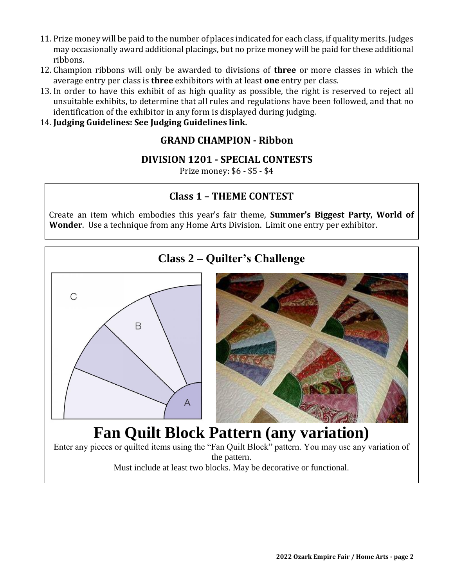- 11. Prize money will be paid to the number of places indicated for each class, if quality merits. Judges may occasionally award additional placings, but no prize money will be paid for these additional ribbons.
- 12. Champion ribbons will only be awarded to divisions of **three** or more classes in which the average entry per class is **three** exhibitors with at least **one** entry per class.
- 13. In order to have this exhibit of as high quality as possible, the right is reserved to reject all unsuitable exhibits, to determine that all rules and regulations have been followed, and that no identification of the exhibitor in any form is displayed during judging.
- 14. **Judging Guidelines: See Judging Guidelines link.**

# **GRAND CHAMPION - Ribbon**

# **DIVISION 1201 - SPECIAL CONTESTS**

Prize money: \$6 - \$5 - \$4

# **Class 1 – THEME CONTEST**

Create an item which embodies this year's fair theme, **Summer's Biggest Party, World of Wonder**. Use a technique from any Home Arts Division. Limit one entry per exhibitor.

# **Class 2 – Quilter's Challenge** C B Α **Fan Quilt Block Pattern (any variation)** Enter any pieces or quilted items using the "Fan Quilt Block" pattern. You may use any variation of the pattern. Must include at least two blocks. May be decorative or functional.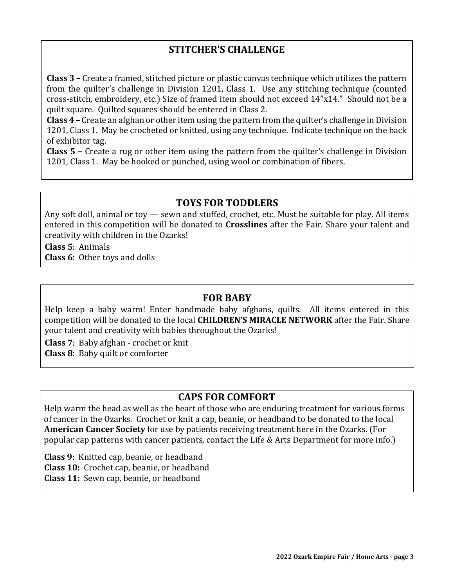# **STITCHER'S CHALLENGE**

**Class 3 –** Create a framed, stitched picture or plastic canvas technique which utilizes the pattern from the quilter's challenge in Division 1201, Class 1. Use any stitching technique (counted cross-stitch, embroidery, etc.) Size of framed item should not exceed 14"x14." Should not be a quilt square. Quilted squares should be entered in Class 2.

**Class 4 –** Create an afghan or other item using the pattern from the quilter's challenge in Division 1201, Class 1. May be crocheted or knitted, using any technique. Indicate technique on the back of exhibitor tag.

**Class 5 –** Create a rug or other item using the pattern from the quilter's challenge in Division 1201, Class 1. May be hooked or punched, using wool or combination of fibers.

# **TOYS FOR TODDLERS**

Any soft doll, animal or toy — sewn and stuffed, crochet, etc. Must be suitable for play. All items entered in this competition will be donated to **Crosslines** after the Fair. Share your talent and creativity with children in the Ozarks!

**Class 5**: Animals **Class 6**: Other toys and dolls

## **FOR BABY**

Help keep a baby warm! Enter handmade baby afghans, quilts. All items entered in this competition will be donated to the local **CHILDREN'S MIRACLE NETWORK** after the Fair. Share your talent and creativity with babies throughout the Ozarks!

**Class 7**: Baby afghan - crochet or knit **Class 8**: Baby quilt or comforter

# **CAPS FOR COMFORT**

Help warm the head as well as the heart of those who are enduring treatment for various forms of cancer in the Ozarks. Crochet or knit a cap, beanie, or headband to be donated to the local **American Cancer Society** for use by patients receiving treatment here in the Ozarks. (For popular cap patterns with cancer patients, contact the Life & Arts Department for more info.)

**Class 9:** Knitted cap, beanie, or headband **Class 10:** Crochet cap, beanie, or headband **Class 11:** Sewn cap, beanie, or headband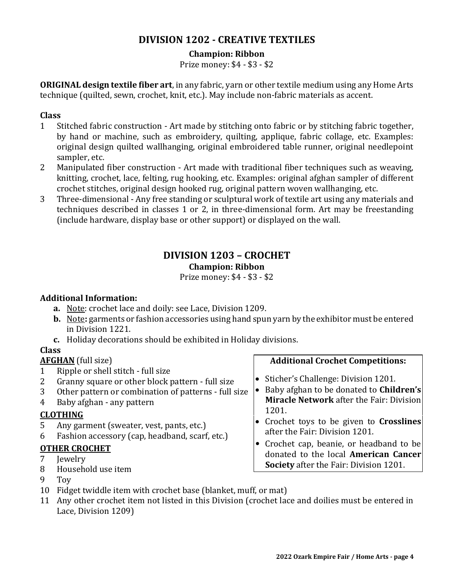# **DIVISION 1202 - CREATIVE TEXTILES**

# **Champion: Ribbon**

Prize money: \$4 - \$3 - \$2

**ORIGINAL design textile fiber art**, in any fabric, yarn or other textile medium using any Home Arts technique (quilted, sewn, crochet, knit, etc.). May include non-fabric materials as accent.

# **Class**

- 1 Stitched fabric construction Art made by stitching onto fabric or by stitching fabric together, by hand or machine, such as embroidery, quilting, applique, fabric collage, etc. Examples: original design quilted wallhanging, original embroidered table runner, original needlepoint sampler, etc.
- 2 Manipulated fiber construction Art made with traditional fiber techniques such as weaving, knitting, crochet, lace, felting, rug hooking, etc. Examples: original afghan sampler of different crochet stitches, original design hooked rug, original pattern woven wallhanging, etc.
- 3 Three-dimensional Any free standing or sculptural work of textile art using any materials and techniques described in classes 1 or 2, in three-dimensional form. Art may be freestanding (include hardware, display base or other support) or displayed on the wall.

# **DIVISION 1203 – CROCHET**

## **Champion: Ribbon**

Prize money: \$4 - \$3 - \$2

# **Additional Information:**

- **a.** Note: crochet lace and doily: see Lace, Division 1209.
- **b.** Note**:** garments or fashion accessories using hand spun yarn by the exhibitor must be entered in Division 1221.
- **c.** Holiday decorations should be exhibited in Holiday divisions.

# **Class**

# **AFGHAN** (full size)

- 1 Ripple or shell stitch full size
- 2 Granny square or other block pattern full size
- 3 Other pattern or combination of patterns full size
- 4 Baby afghan any pattern

# **CLOTHING**

- 5 Any garment (sweater, vest, pants, etc.)
- 6 Fashion accessory (cap, headband, scarf, etc.)

# **OTHER CROCHET**

- 7 Jewelry
- 8 Household use item
- 9 Toy
- 10 Fidget twiddle item with crochet base (blanket, muff, or mat)
- 11 Any other crochet item not listed in this Division (crochet lace and doilies must be entered in Lace, Division 1209)

# **Additional Crochet Competitions:**

- Sticher's Challenge: Division 1201.
- Baby afghan to be donated to **Children's Miracle Network** after the Fair: Division 1201.
- Crochet toys to be given to **Crosslines**  after the Fair: Division 1201.
- Crochet cap, beanie, or headband to be donated to the local **American Cancer Society** after the Fair: Division 1201.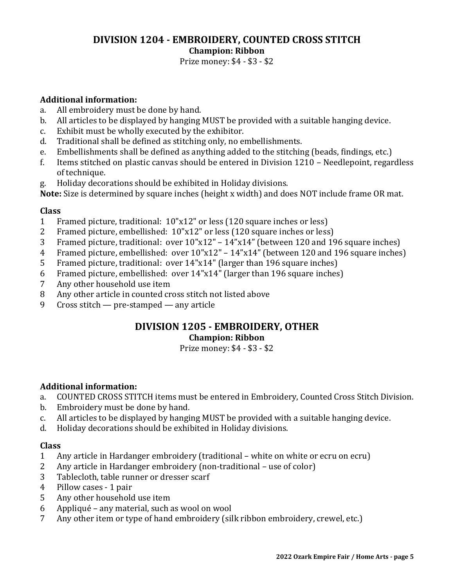# **DIVISION 1204 - EMBROIDERY, COUNTED CROSS STITCH Champion: Ribbon**

Prize money: \$4 - \$3 - \$2

# **Additional information:**

- a. All embroidery must be done by hand.
- b. All articles to be displayed by hanging MUST be provided with a suitable hanging device.
- c. Exhibit must be wholly executed by the exhibitor.
- d. Traditional shall be defined as stitching only, no embellishments.
- e. Embellishments shall be defined as anything added to the stitching (beads, findings, etc.)
- f. Items stitched on plastic canvas should be entered in Division 1210 Needlepoint, regardless of technique.
- g. Holiday decorations should be exhibited in Holiday divisions.

**Note:** Size is determined by square inches (height x width) and does NOT include frame OR mat.

## **Class**

- 1 Framed picture, traditional: 10"x12" or less (120 square inches or less)
- 2 Framed picture, embellished: 10"x12" or less (120 square inches or less)
- 3 Framed picture, traditional: over 10"x12" 14"x14" (between 120 and 196 square inches)
- 4 Framed picture, embellished: over 10"x12" 14"x14" (between 120 and 196 square inches)
- 5 Framed picture, traditional: over 14"x14" (larger than 196 square inches)
- 6 Framed picture, embellished: over 14"x14" (larger than 196 square inches)
- 7 Any other household use item
- 8 Any other article in counted cross stitch not listed above
- 9 Cross stitch pre-stamped any article

# **DIVISION 1205 - EMBROIDERY, OTHER Champion: Ribbon**

Prize money: \$4 - \$3 - \$2

# **Additional information:**

- a. COUNTED CROSS STITCH items must be entered in Embroidery, Counted Cross Stitch Division.
- b. Embroidery must be done by hand.
- c. All articles to be displayed by hanging MUST be provided with a suitable hanging device.
- d. Holiday decorations should be exhibited in Holiday divisions.

## **Class**

- 1 Any article in Hardanger embroidery (traditional white on white or ecru on ecru)
- 2 Any article in Hardanger embroidery (non-traditional use of color)
- 3 Tablecloth, table runner or dresser scarf
- 4 Pillow cases 1 pair
- 5 Any other household use item
- 6 Appliqué any material, such as wool on wool
- 7 Any other item or type of hand embroidery (silk ribbon embroidery, crewel, etc.)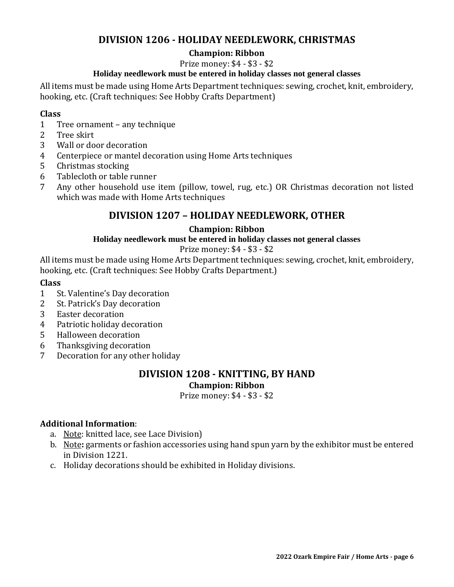# **DIVISION 1206 - HOLIDAY NEEDLEWORK, CHRISTMAS**

# **Champion: Ribbon**

Prize money: \$4 - \$3 - \$2

# **Holiday needlework must be entered in holiday classes not general classes**

All items must be made using Home Arts Department techniques: sewing, crochet, knit, embroidery, hooking, etc. (Craft techniques: See Hobby Crafts Department)

# **Class**

- 1 Tree ornament any technique
- 2 Tree skirt
- 3 Wall or door decoration
- 4 Centerpiece or mantel decoration using Home Arts techniques
- 5 Christmas stocking
- 6 Tablecloth or table runner
- 7 Any other household use item (pillow, towel, rug, etc.) OR Christmas decoration not listed which was made with Home Arts techniques

# **DIVISION 1207 – HOLIDAY NEEDLEWORK, OTHER**

# **Champion: Ribbon**

## **Holiday needlework must be entered in holiday classes not general classes**

# Prize money: \$4 - \$3 - \$2

All items must be made using Home Arts Department techniques: sewing, crochet, knit, embroidery, hooking, etc. (Craft techniques: See Hobby Crafts Department.)

#### **Class**

- 1 St. Valentine's Day decoration
- 2 St. Patrick's Day decoration
- 3 Easter decoration
- 4 Patriotic holiday decoration
- 5 Halloween decoration
- 6 Thanksgiving decoration
- 7 Decoration for any other holiday

# **DIVISION 1208 - KNITTING, BY HAND**

**Champion: Ribbon**

Prize money: \$4 - \$3 - \$2

## **Additional Information**:

- a. Note: knitted lace, see Lace Division)
- b. Note**:** garments or fashion accessories using hand spun yarn by the exhibitor must be entered in Division 1221.
- c. Holiday decorations should be exhibited in Holiday divisions.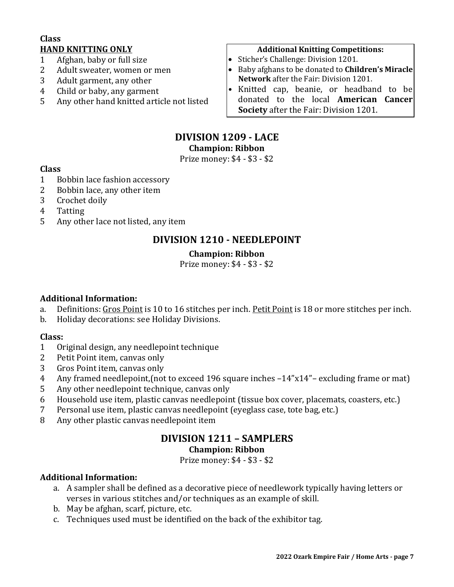# **Class HAND KNITTING ONLY**

- 1 Afghan, baby or full size
- 2 Adult sweater, women or men
- 3 Adult garment, any other
- 4 Child or baby, any garment
- 5 Any other hand knitted article not listed

## **Additional Knitting Competitions:**

- Sticher's Challenge: Division 1201.
- Baby afghans to be donated to **Children's Miracle Network** after the Fair: Division 1201.
- Knitted cap, beanie, or headband to be donated to the local **American Cancer Society** after the Fair: Division 1201.

# **DIVISION 1209 - LACE**

**Champion: Ribbon**

Prize money: \$4 - \$3 - \$2

# **Class**

- 1 Bobbin lace fashion accessory
- 2 Bobbin lace, any other item
- 3 Crochet doily
- 4 Tatting
- 5 Any other lace not listed, any item

# **DIVISION 1210 - NEEDLEPOINT**

# **Champion: Ribbon**

Prize money: \$4 - \$3 - \$2

# **Additional Information:**

- a. Definitions: Gros Point is 10 to 16 stitches per inch. Petit Point is 18 or more stitches per inch.
- b. Holiday decorations: see Holiday Divisions.

## **Class:**

- 1 Original design, any needlepoint technique
- 2 Petit Point item, canvas only
- 3 Gros Point item, canvas only
- 4 Any framed needlepoint,(not to exceed 196 square inches –14"x14"– excluding frame or mat)
- 5 Any other needlepoint technique, canvas only
- 6 Household use item, plastic canvas needlepoint (tissue box cover, placemats, coasters, etc.)
- 7 Personal use item, plastic canvas needlepoint (eyeglass case, tote bag, etc.)
- 8 Any other plastic canvas needlepoint item

# **DIVISION 1211 – SAMPLERS**

# **Champion: Ribbon**

Prize money: \$4 - \$3 - \$2

# **Additional Information:**

- a. A sampler shall be defined as a decorative piece of needlework typically having letters or verses in various stitches and/or techniques as an example of skill.
- b. May be afghan, scarf, picture, etc.
- c. Techniques used must be identified on the back of the exhibitor tag.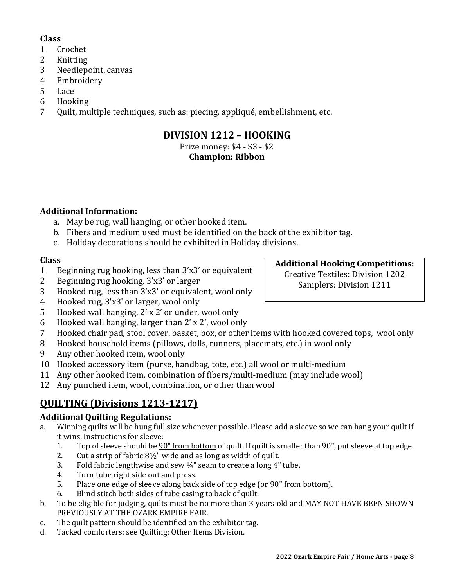# **Class**

- 1 Crochet
- 2 Knitting
- 3 Needlepoint, canvas
- 4 Embroidery
- 5 Lace
- 6 Hooking
- 7 Quilt, multiple techniques, such as: piecing, appliqué, embellishment, etc.

# **DIVISION 1212 – HOOKING**

# Prize money: \$4 - \$3 - \$2

# **Champion: Ribbon**

# **Additional Information:**

- a. May be rug, wall hanging, or other hooked item.
- b. Fibers and medium used must be identified on the back of the exhibitor tag.
- c. Holiday decorations should be exhibited in Holiday divisions.

# **Class**

- 1 Beginning rug hooking, less than 3'x3' or equivalent
- 2 Beginning rug hooking, 3'x3' or larger
- 3 Hooked rug, less than 3'x3' or equivalent, wool only
- 4 Hooked rug, 3'x3' or larger, wool only
- 5 Hooked wall hanging, 2' x 2' or under, wool only
- 6 Hooked wall hanging, larger than 2' x 2', wool only
- 7 Hooked chair pad, stool cover, basket, box, or other items with hooked covered tops, wool only
- 8 Hooked household items (pillows, dolls, runners, placemats, etc.) in wool only
- 9 Any other hooked item, wool only
- 10 Hooked accessory item (purse, handbag, tote, etc.) all wool or multi-medium
- 11 Any other hooked item, combination of fibers/multi-medium (may include wool)
- 12 Any punched item, wool, combination, or other than wool

# **QUILTING (Divisions 1213-1217)**

# **Additional Quilting Regulations:**

- a. Winning quilts will be hung full size whenever possible. Please add a sleeve so we can hang your quilt if it wins. Instructions for sleeve:
	- 1. Top of sleeve should be 90" from bottom of quilt. If quilt is smaller than 90", put sleeve at top edge.
	- 2. Cut a strip of fabric 8½" wide and as long as width of quilt.
	- 3. Fold fabric lengthwise and sew  $\frac{1}{4}$ " seam to create a long  $4$ " tube.
	- 4. Turn tube right side out and press.
	- 5. Place one edge of sleeve along back side of top edge (or 90" from bottom).
	- 6. Blind stitch both sides of tube casing to back of quilt.
- b. To be eligible for judging, quilts must be no more than 3 years old and MAY NOT HAVE BEEN SHOWN PREVIOUSLY AT THE OZARK EMPIRE FAIR.
- c. The quilt pattern should be identified on the exhibitor tag.
- d. Tacked comforters: see Quilting: Other Items Division.

**Additional Hooking Competitions:** Creative Textiles: Division 1202 Samplers: Division 1211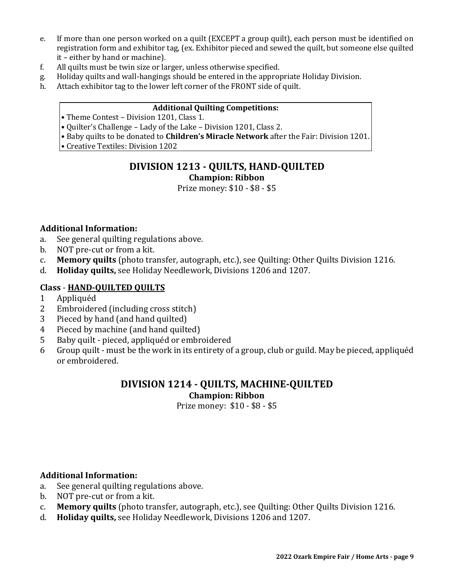- e. If more than one person worked on a quilt (EXCEPT a group quilt), each person must be identified on registration form and exhibitor tag, (ex. Exhibitor pieced and sewed the quilt, but someone else quilted it – either by hand or machine).
- f. All quilts must be twin size or larger, unless otherwise specified.
- g. Holiday quilts and wall-hangings should be entered in the appropriate Holiday Division.
- h. Attach exhibitor tag to the lower left corner of the FRONT side of quilt.

#### **Additional Quilting Competitions:**

- Theme Contest Division 1201, Class 1.
- Quilter's Challenge Lady of the Lake Division 1201, Class 2.
- Baby quilts to be donated to **Children's Miracle Network** after the Fair: Division 1201.
- Creative Textiles: Division 1202

# **DIVISION 1213 - QUILTS, HAND-QUILTED Champion: Ribbon**

Prize money: \$10 - \$8 - \$5

#### **Additional Information:**

- a. See general quilting regulations above.
- b. NOT pre-cut or from a kit.
- c. **Memory quilts** (photo transfer, autograph, etc.), see Quilting: Other Quilts Division 1216.
- d. **Holiday quilts,** see Holiday Needlework, Divisions 1206 and 1207.

## **Class** - **HAND-QUILTED QUILTS**

- 1 Appliquéd
- 2 Embroidered (including cross stitch)
- 3 Pieced by hand (and hand quilted)
- 4 Pieced by machine (and hand quilted)
- 5 Baby quilt pieced, appliquéd or embroidered
- 6 Group quilt must be the work in its entirety of a group, club or guild. May be pieced, appliquéd or embroidered.

# **DIVISION 1214 - QUILTS, MACHINE-QUILTED Champion: Ribbon**

Prize money: \$10 - \$8 - \$5

## **Additional Information:**

- a. See general quilting regulations above.
- b. NOT pre-cut or from a kit.
- c. **Memory quilts** (photo transfer, autograph, etc.), see Quilting: Other Quilts Division 1216.
- d. **Holiday quilts,** see Holiday Needlework, Divisions 1206 and 1207.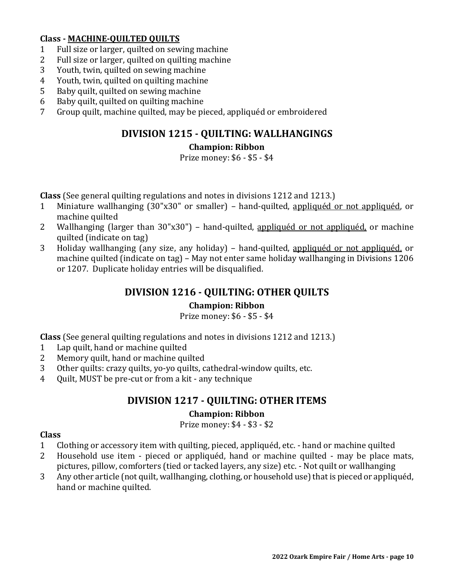# **Class - MACHINE-QUILTED QUILTS**

- 1 Full size or larger, quilted on sewing machine
- 2 Full size or larger, quilted on quilting machine
- 3 Youth, twin, quilted on sewing machine
- 4 Youth, twin, quilted on quilting machine
- 5 Baby quilt, quilted on sewing machine
- 6 Baby quilt, quilted on quilting machine
- 7 Group quilt, machine quilted, may be pieced, appliquéd or embroidered

# **DIVISION 1215 - QUILTING: WALLHANGINGS**

# **Champion: Ribbon**

Prize money: \$6 - \$5 - \$4

**Class** (See general quilting regulations and notes in divisions 1212 and 1213.)

- 1 Miniature wallhanging (30"x30" or smaller) hand-quilted, appliquéd or not appliquéd, or machine quilted
- 2 Wallhanging (larger than 30"x30") hand-quilted, appliqued or not appliqued, or machine quilted (indicate on tag)
- 3 Holiday wallhanging (any size, any holiday) hand-quilted, appliquéd or not appliquéd, or machine quilted (indicate on tag) – May not enter same holiday wallhanging in Divisions 1206 or 1207. Duplicate holiday entries will be disqualified.

# **DIVISION 1216 - QUILTING: OTHER QUILTS**

## **Champion: Ribbon**

Prize money: \$6 - \$5 - \$4

**Class** (See general quilting regulations and notes in divisions 1212 and 1213.)

- 1 Lap quilt, hand or machine quilted
- 2 Memory quilt, hand or machine quilted
- 3 Other quilts: crazy quilts, yo-yo quilts, cathedral-window quilts, etc.
- 4 Quilt, MUST be pre-cut or from a kit any technique

# **DIVISION 1217 - QUILTING: OTHER ITEMS**

# **Champion: Ribbon**

Prize money: \$4 - \$3 - \$2

## **Class**

- 1 Clothing or accessory item with quilting, pieced, appliquéd, etc. hand or machine quilted
- 2 Household use item pieced or appliquéd, hand or machine quilted may be place mats, pictures, pillow, comforters (tied or tacked layers, any size) etc. - Not quilt or wallhanging
- 3 Any other article (not quilt, wallhanging, clothing, or household use) that is pieced or appliquéd, hand or machine quilted.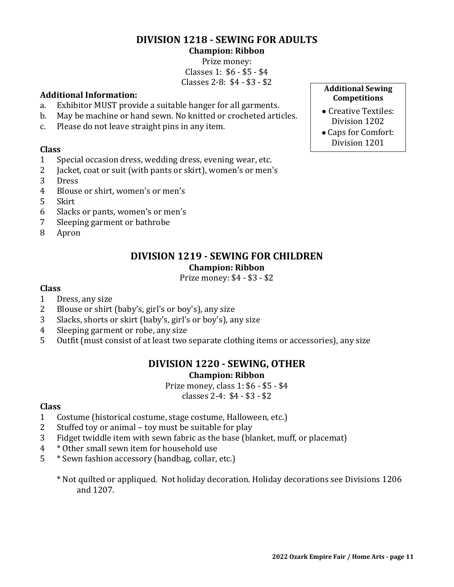# **DIVISION 1218 - SEWING FOR ADULTS**

#### **Champion: Ribbon**

Prize money: Classes 1: \$6 - \$5 - \$4 Classes 2-8: \$4 - \$3 - \$2

# **Additional Information:**

- a. Exhibitor MUST provide a suitable hanger for all garments.
- b. May be machine or hand sewn. No knitted or crocheted articles.
- c. Please do not leave straight pins in any item.

## **Class**

- 1 Special occasion dress, wedding dress, evening wear, etc.
- 2 Jacket, coat or suit (with pants or skirt), women's or men's
- 3 Dress
- 4 Blouse or shirt, women's or men's
- 5 Skirt
- 6 Slacks or pants, women's or men's
- 7 Sleeping garment or bathrobe
- 8 Apron

# **DIVISION 1219 - SEWING FOR CHILDREN**

## **Champion: Ribbon**

Prize money: \$4 - \$3 - \$2

# **Class**

- 1 Dress, any size
- 2 Blouse or shirt (baby's, girl's or boy's), any size
- 3 Slacks, shorts or skirt (baby's, girl's or boy's), any size
- 4 Sleeping garment or robe, any size
- 5 Outfit (must consist of at least two separate clothing items or accessories), any size

# **DIVISION 1220 - SEWING, OTHER Champion: Ribbon**

Prize money, class 1: \$6 - \$5 - \$4 classes 2-4: \$4 - \$3 - \$2

# **Class**

- 1 Costume (historical costume, stage costume, Halloween, etc.)
- 2 Stuffed toy or animal toy must be suitable for play
- 3 Fidget twiddle item with sewn fabric as the base (blanket, muff, or placemat)
- 4 \* Other small sewn item for household use
- 5 \* Sewn fashion accessory (handbag, collar, etc.)
	- \* Not quilted or appliqued. Not holiday decoration. Holiday decorations see Divisions 1206 and 1207.

#### **Additional Sewing Competitions**

- Creative Textiles: Division 1202
- Caps for Comfort: Division 1201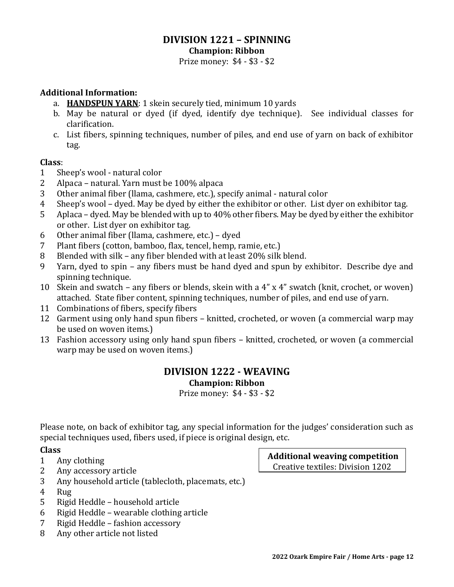#### **DIVISION 1221 – SPINNING Champion: Ribbon**

Prize money: \$4 - \$3 - \$2

## **Additional Information:**

- a. **HANDSPUN YARN**: 1 skein securely tied, minimum 10 yards
- b. May be natural or dyed (if dyed, identify dye technique). See individual classes for clarification.
- c. List fibers, spinning techniques, number of piles, and end use of yarn on back of exhibitor tag.

## **Class**:

- 1 Sheep's wool natural color
- 2 Alpaca natural. Yarn must be 100% alpaca
- 3 Other animal fiber (llama, cashmere, etc.), specify animal natural color
- 4 Sheep's wool dyed. May be dyed by either the exhibitor or other. List dyer on exhibitor tag.
- 5 Aplaca dyed. May be blended with up to 40% other fibers. May be dyed by either the exhibitor or other. List dyer on exhibitor tag.
- 6 Other animal fiber (llama, cashmere, etc.) dyed
- 7 Plant fibers (cotton, bamboo, flax, tencel, hemp, ramie, etc.)
- 8 Blended with silk any fiber blended with at least 20% silk blend.
- 9 Yarn, dyed to spin any fibers must be hand dyed and spun by exhibitor. Describe dye and spinning technique.
- 10 Skein and swatch any fibers or blends, skein with a 4" x 4" swatch (knit, crochet, or woven) attached. State fiber content, spinning techniques, number of piles, and end use of yarn.
- 11 Combinations of fibers, specify fibers
- 12 Garment using only hand spun fibers knitted, crocheted, or woven (a commercial warp may be used on woven items.)
- 13 Fashion accessory using only hand spun fibers knitted, crocheted, or woven (a commercial warp may be used on woven items.)

# **DIVISION 1222 - WEAVING Champion: Ribbon**

Prize money: \$4 - \$3 - \$2

Please note, on back of exhibitor tag, any special information for the judges' consideration such as special techniques used, fibers used, if piece is original design, etc.

# **Class**

- 1 Any clothing
- 2 Any accessory article
- 3 Any household article (tablecloth, placemats, etc.)
- 4 Rug
- 5 Rigid Heddle household article
- 6 Rigid Heddle wearable clothing article
- 7 Rigid Heddle fashion accessory
- 8 Any other article not listed

**Additional weaving competition** Creative textiles: Division 1202